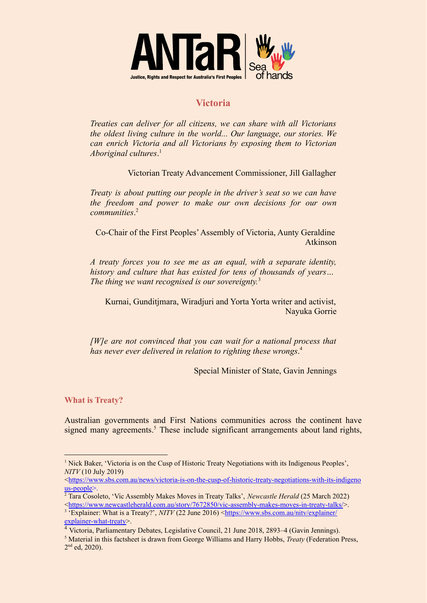

## **Victoria**

*Treaties can deliver for all citizens, we can share with all Victorians the oldest living culture in the world... Our language, our stories. We can enrich Victoria and all Victorians by exposing them to Victorian Aboriginal cultures*. 1

Victorian Treaty Advancement Commissioner, Jill Gallagher

*Treaty is about putting our people in the driver's seat so we can have the freedom and power to make our own decisions for our own communities*. 2

Co-Chair of the First Peoples'Assembly of Victoria, Aunty Geraldine Atkinson

*A treaty forces you to see me as an equal, with a separate identity, history and culture that has existed for tens of thousands of years… The thing we want recognised is our sovereignty.* 3

Kurnai, Gunditjmara, Wiradjuri and Yorta Yorta writer and activist, Nayuka Gorrie

*[W]e are not convinced that you can wait for a national process that has never ever delivered in relation to righting these wrongs*. 4

Special Minister of State, Gavin Jennings

**What is Treaty?**

Australian governments and First Nations communities across the continent have signed many agreements. $<sup>5</sup>$  These include significant arrangements about land rights,</sup>

<sup>1</sup> Nick Baker, 'Victoria is on the Cusp of Historic Treaty Negotiations with its Indigenous Peoples', *NITV* (10 July 2019)

<sup>&</sup>lt;[https://www.sbs.com.au/news/victoria-is-on-the-cusp-of-historic-treaty-negotiations-with-its-indigeno](https://www.sbs.com.au/news/victoria-is-on-the-cusp-of-historic-treaty-negotiations-with-its-indigenous-people) [us-people>](https://www.sbs.com.au/news/victoria-is-on-the-cusp-of-historic-treaty-negotiations-with-its-indigenous-people).

<sup>2</sup> Tara Cosoleto, 'Vic Assembly Makes Moves in Treaty Talks', *Newcastle Herald* (25 March 2022)  $\langle$ <https://www.newcastleherald.com.au/story/7672850/vic-assembly-makes-moves-in-treaty-talks/>>.

<sup>&</sup>lt;sup>3</sup> 'Explainer: What is a Treaty?', *NITV* (22 June 2016) <[https://www.sbs.com.au/nitv/explainer/](https://www.sbs.com.au/nitv/explainer/explainer-what-treaty) [explainer-what-treaty>](https://www.sbs.com.au/nitv/explainer/explainer-what-treaty).

<sup>4</sup> Victoria, Parliamentary Debates, Legislative Council, 21 June 2018, 2893–4 (Gavin Jennings).

<sup>5</sup> Material in this factsheet is drawn from George Williams and Harry Hobbs, *Treaty* (Federation Press, 2<sup>nd</sup> ed, 2020).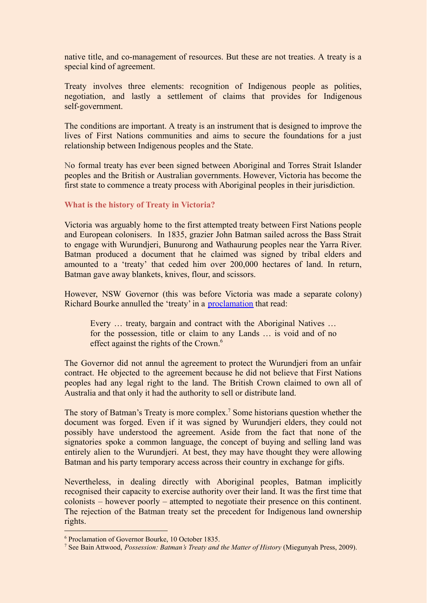native title, and co-management of resources. But these are not treaties. A treaty is a special kind of agreement.

Treaty involves three elements: recognition of Indigenous people as polities, negotiation, and lastly a settlement of claims that provides for Indigenous self-government.

The conditions are important. A treaty is an instrument that is designed to improve the lives of First Nations communities and aims to secure the foundations for a just relationship between Indigenous peoples and the State.

No formal treaty has ever been signed between Aboriginal and Torres Strait Islander peoples and the British or Australian governments. However, Victoria has become the first state to commence a treaty process with Aboriginal peoples in their jurisdiction.

## **What is the history of Treaty in Victoria?**

Victoria was arguably home to the first attempted treaty between First Nations people and European colonisers. In 1835, grazier John Batman sailed across the Bass Strait to engage with Wurundjeri, Bunurong and Wathaurung peoples near the Yarra River. Batman produced a document that he claimed was signed by tribal elders and amounted to a 'treaty' that ceded him over 200,000 hectares of land. In return, Batman gave away blankets, knives, flour, and scissors.

However, NSW Governor (this was before Victoria was made a separate colony) Richard Bourke annulled the 'treaty' in a [proclamation](https://www.foundingdocs.gov.au/item-did-42.html) that read:

Every … treaty, bargain and contract with the Aboriginal Natives … for the possession, title or claim to any Lands … is void and of no effect against the rights of the Crown.<sup>6</sup>

The Governor did not annul the agreement to protect the Wurundjeri from an unfair contract. He objected to the agreement because he did not believe that First Nations peoples had any legal right to the land. The British Crown claimed to own all of Australia and that only it had the authority to sell or distribute land.

The story of Batman's Treaty is more complex.<sup>7</sup> Some historians question whether the document was forged. Even if it was signed by Wurundjeri elders, they could not possibly have understood the agreement. Aside from the fact that none of the signatories spoke a common language, the concept of buying and selling land was entirely alien to the Wurundjeri. At best, they may have thought they were allowing Batman and his party temporary access across their country in exchange for gifts.

Nevertheless, in dealing directly with Aboriginal peoples, Batman implicitly recognised their capacity to exercise authority over their land. It was the first time that colonists – however poorly – attempted to negotiate their presence on this continent. The rejection of the Batman treaty set the precedent for Indigenous land ownership rights.

<sup>6</sup> Proclamation of Governor Bourke, 10 October 1835.

<sup>7</sup> See Bain Attwood, *Possession: Batman's Treaty and the Matter of History* (Miegunyah Press, 2009).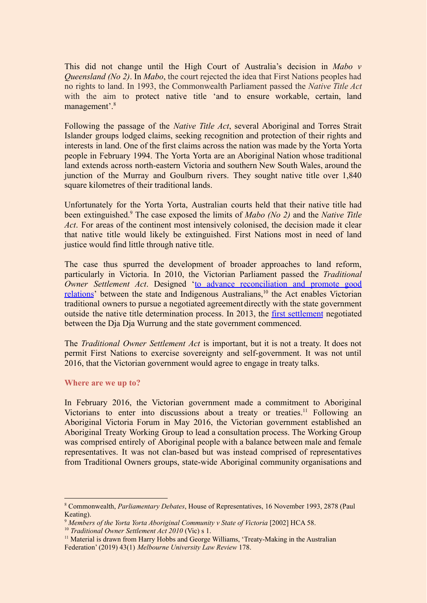This did not change until the High Court of Australia's decision in *Mabo v Queensland (No 2)*. In *Mabo*, the court rejected the idea that First Nations peoples had no rights to land. In 1993, the Commonwealth Parliament passed the *Native Title Act* with the aim to protect native title 'and to ensure workable, certain, land management'.<sup>8</sup>

Following the passage of the *Native Title Act*, several Aboriginal and Torres Strait Islander groups lodged claims, seeking recognition and protection of their rights and interests in land. One of the first claims across the nation was made by the Yorta Yorta people in February 1994. The Yorta Yorta are an Aboriginal Nation whose traditional land extends across north-eastern Victoria and southern New South Wales, around the junction of the Murray and Goulburn rivers. They sought native title over 1,840 square kilometres of their traditional lands.

Unfortunately for the Yorta Yorta, Australian courts held that their native title had been extinguished.<sup>9</sup> The case exposed the limits of *Mabo (No 2)* and the *Native Title Act*. For areas of the continent most intensively colonised, the decision made it clear that native title would likely be extinguished. First Nations most in need of land justice would find little through native title.

The case thus spurred the development of broader approaches to land reform, particularly in Victoria. In 2010, the Victorian Parliament passed the *Traditional Owner Settlement Act*. Designed 'to advance [reconciliation](https://www.legislation.vic.gov.au/in-force/acts/traditional-owner-settlement-act-2010/025) and promote good [relations](https://www.legislation.vic.gov.au/in-force/acts/traditional-owner-settlement-act-2010/025)' between the state and Indigenous Australians,<sup>10</sup> the Act enables Victorian traditional owners to pursue a negotiated agreement directly with the state government outside the native title determination process. In 2013, the first [settlement](https://www.justice.vic.gov.au/your-rights/native-title/dja-dja-wurrung-settlement) negotiated between the Dja Dja Wurrung and the state government commenced.

The *Traditional Owner Settlement Act* is important, but it is not a treaty. It does not permit First Nations to exercise sovereignty and self-government. It was not until 2016, that the Victorian government would agree to engage in treaty talks.

## **Where are we up to?**

In February 2016, the Victorian government made a commitment to Aboriginal Victorians to enter into discussions about a treaty or treaties.<sup>11</sup> Following an Aboriginal Victoria Forum in May 2016, the Victorian government established an Aboriginal Treaty Working Group to lead a consultation process. The Working Group was comprised entirely of Aboriginal people with a balance between male and female representatives. It was not clan-based but was instead comprised of representatives from Traditional Owners groups, state-wide Aboriginal community organisations and

<sup>8</sup> Commonwealth, *Parliamentary Debates*, House of Representatives, 16 November 1993, 2878 (Paul Keating).

<sup>9</sup> *Members of the Yorta Yorta Aboriginal Community v State of Victoria* [2002] HCA 58.

<sup>10</sup> *Traditional Owner Settlement Act 2010* (Vic) s 1.

<sup>&</sup>lt;sup>11</sup> Material is drawn from Harry Hobbs and George Williams, 'Treaty-Making in the Australian Federation' (2019) 43(1) *Melbourne University Law Review* 178.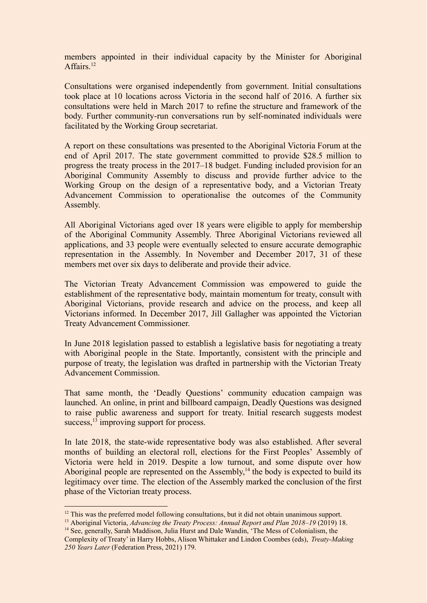members appointed in their individual capacity by the Minister for Aboriginal Affairs<sup>12</sup>

Consultations were organised independently from government. Initial consultations took place at 10 locations across Victoria in the second half of 2016. A further six consultations were held in March 2017 to refine the structure and framework of the body. Further community-run conversations run by self-nominated individuals were facilitated by the Working Group secretariat.

A report on these consultations was presented to the Aboriginal Victoria Forum at the end of April 2017. The state government committed to provide \$28.5 million to progress the treaty process in the 2017–18 budget. Funding included provision for an Aboriginal Community Assembly to discuss and provide further advice to the Working Group on the design of a representative body, and a Victorian Treaty Advancement Commission to operationalise the outcomes of the Community Assembly.

All Aboriginal Victorians aged over 18 years were eligible to apply for membership of the Aboriginal Community Assembly. Three Aboriginal Victorians reviewed all applications, and 33 people were eventually selected to ensure accurate demographic representation in the Assembly. In November and December 2017, 31 of these members met over six days to deliberate and provide their advice.

The Victorian Treaty Advancement Commission was empowered to guide the establishment of the representative body, maintain momentum for treaty, consult with Aboriginal Victorians, provide research and advice on the process, and keep all Victorians informed. In December 2017, Jill Gallagher was appointed the Victorian Treaty Advancement Commissioner.

In June 2018 legislation passed to establish a legislative basis for negotiating a treaty with Aboriginal people in the State. Importantly, consistent with the principle and purpose of treaty, the legislation was drafted in partnership with the Victorian Treaty Advancement Commission.

That same month, the 'Deadly Questions' community education campaign was launched. An online, in print and billboard campaign, Deadly Questions was designed to raise public awareness and support for treaty. Initial research suggests modest success,<sup>13</sup> improving support for process.

In late 2018, the state-wide representative body was also established. After several months of building an electoral roll, elections for the First Peoples' Assembly of Victoria were held in 2019. Despite a low turnout, and some dispute over how Aboriginal people are represented on the Assembly, $<sup>14</sup>$  the body is expected to build its</sup> legitimacy over time. The election of the Assembly marked the conclusion of the first phase of the Victorian treaty process.

<sup>&</sup>lt;sup>12</sup> This was the preferred model following consultations, but it did not obtain unanimous support.

<sup>13</sup> Aboriginal Victoria, *Advancing the Treaty Process: Annual Report and Plan 2018*–*19* (2019) 18.

<sup>&</sup>lt;sup>14</sup> See, generally, Sarah Maddison, Julia Hurst and Dale Wandin, 'The Mess of Colonialism, the Complexity of Treaty' in Harry Hobbs, Alison Whittaker and Lindon Coombes (eds), *Treaty-Making 250 Years Later* (Federation Press, 2021) 179.